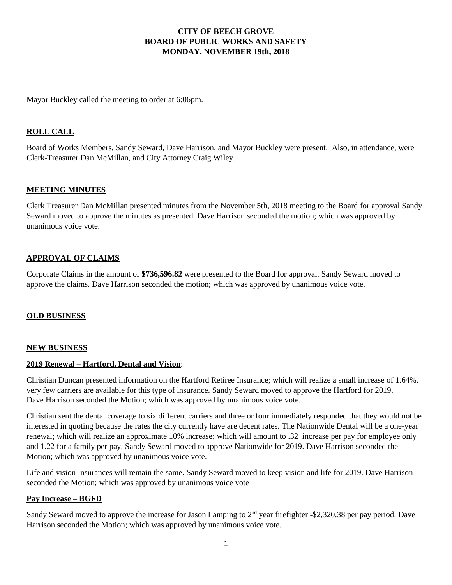## **CITY OF BEECH GROVE BOARD OF PUBLIC WORKS AND SAFETY MONDAY, NOVEMBER 19th, 2018**

Mayor Buckley called the meeting to order at 6:06pm.

# **ROLL CALL**

Board of Works Members, Sandy Seward, Dave Harrison, and Mayor Buckley were present. Also, in attendance, were Clerk-Treasurer Dan McMillan, and City Attorney Craig Wiley.

### **MEETING MINUTES**

Clerk Treasurer Dan McMillan presented minutes from the November 5th, 2018 meeting to the Board for approval Sandy Seward moved to approve the minutes as presented. Dave Harrison seconded the motion; which was approved by unanimous voice vote.

### **APPROVAL OF CLAIMS**

Corporate Claims in the amount of **\$736,596.82** were presented to the Board for approval. Sandy Seward moved to approve the claims. Dave Harrison seconded the motion; which was approved by unanimous voice vote.

### **OLD BUSINESS**

#### **NEW BUSINESS**

### **2019 Renewal – Hartford, Dental and Vision**:

Christian Duncan presented information on the Hartford Retiree Insurance; which will realize a small increase of 1.64%. very few carriers are available for this type of insurance. Sandy Seward moved to approve the Hartford for 2019. Dave Harrison seconded the Motion; which was approved by unanimous voice vote.

Christian sent the dental coverage to six different carriers and three or four immediately responded that they would not be interested in quoting because the rates the city currently have are decent rates. The Nationwide Dental will be a one-year renewal; which will realize an approximate 10% increase; which will amount to .32 increase per pay for employee only and 1.22 for a family per pay. Sandy Seward moved to approve Nationwide for 2019. Dave Harrison seconded the Motion; which was approved by unanimous voice vote.

Life and vision Insurances will remain the same. Sandy Seward moved to keep vision and life for 2019. Dave Harrison seconded the Motion; which was approved by unanimous voice vote

#### **Pay Increase – BGFD**

Sandy Seward moved to approve the increase for Jason Lamping to 2<sup>nd</sup> year firefighter -\$2,320.38 per pay period. Dave Harrison seconded the Motion; which was approved by unanimous voice vote.